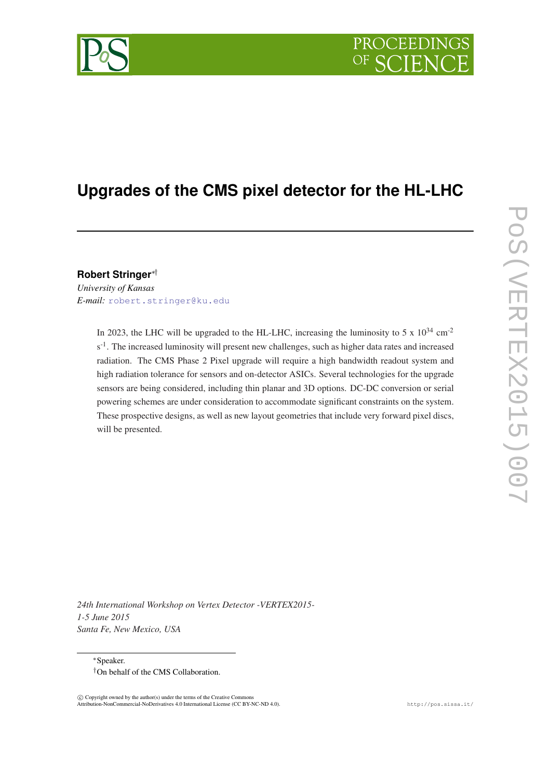

# **Upgrades of the CMS pixel detector for the HL-LHC**

# **Robert Stringer**∗†

*University of Kansas E-mail:* [robert.stringer@ku.edu](mailto:robert.stringer@ku.edu)

> In 2023, the LHC will be upgraded to the HL-LHC, increasing the luminosity to 5 x  $10^{34}$  cm<sup>-2</sup> s<sup>-1</sup>. The increased luminosity will present new challenges, such as higher data rates and increased radiation. The CMS Phase 2 Pixel upgrade will require a high bandwidth readout system and high radiation tolerance for sensors and on-detector ASICs. Several technologies for the upgrade sensors are being considered, including thin planar and 3D options. DC-DC conversion or serial powering schemes are under consideration to accommodate significant constraints on the system. These prospective designs, as well as new layout geometries that include very forward pixel discs, will be presented.

*24th International Workshop on Vertex Detector -VERTEX2015- 1-5 June 2015 Santa Fe, New Mexico, USA*

<sup>∗</sup>Speaker. †On behalf of the CMS Collaboration.

 $\overline{c}$  Copyright owned by the author(s) under the terms of the Creative Common Attribution-NonCommercial-NoDerivatives 4.0 International License (CC BY-NC-ND 4.0). http://pos.sissa.it/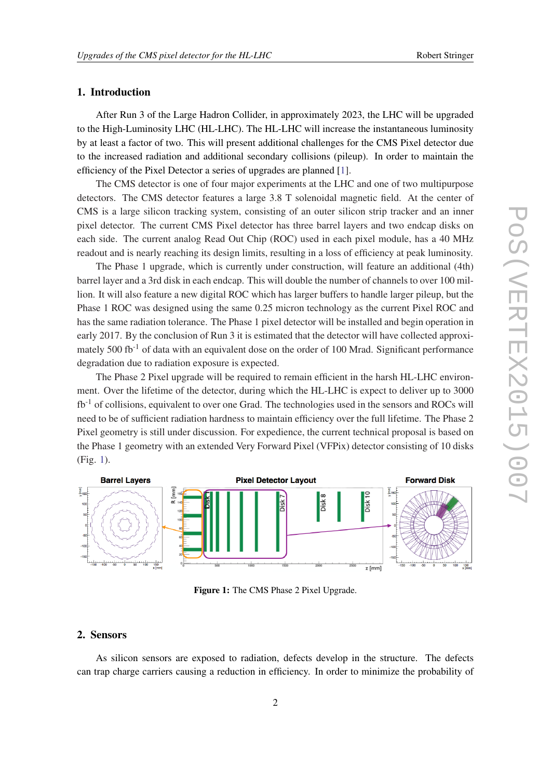# 1. Introduction

After Run 3 of the Large Hadron Collider, in approximately 2023, the LHC will be upgraded to the High-Luminosity LHC (HL-LHC). The HL-LHC will increase the instantaneous luminosity by at least a factor of two. This will present additional challenges for the CMS Pixel detector due to the increased radiation and additional secondary collisions (pileup). In order to maintain the efficiency of the Pixel Detector a series of upgrades are planned [[1](#page-5-0)].

The CMS detector is one of four major experiments at the LHC and one of two multipurpose detectors. The CMS detector features a large 3.8 T solenoidal magnetic field. At the center of CMS is a large silicon tracking system, consisting of an outer silicon strip tracker and an inner pixel detector. The current CMS Pixel detector has three barrel layers and two endcap disks on each side. The current analog Read Out Chip (ROC) used in each pixel module, has a 40 MHz readout and is nearly reaching its design limits, resulting in a loss of efficiency at peak luminosity.

The Phase 1 upgrade, which is currently under construction, will feature an additional (4th) barrel layer and a 3rd disk in each endcap. This will double the number of channels to over 100 million. It will also feature a new digital ROC which has larger buffers to handle larger pileup, but the Phase 1 ROC was designed using the same 0.25 micron technology as the current Pixel ROC and has the same radiation tolerance. The Phase 1 pixel detector will be installed and begin operation in early 2017. By the conclusion of Run 3 it is estimated that the detector will have collected approximately 500 fb<sup>-1</sup> of data with an equivalent dose on the order of 100 Mrad. Significant performance degradation due to radiation exposure is expected.

The Phase 2 Pixel upgrade will be required to remain efficient in the harsh HL-LHC environment. Over the lifetime of the detector, during which the HL-LHC is expect to deliver up to 3000 fb-1 of collisions, equivalent to over one Grad. The technologies used in the sensors and ROCs will need to be of sufficient radiation hardness to maintain efficiency over the full lifetime. The Phase 2 Pixel geometry is still under discussion. For expedience, the current technical proposal is based on the Phase 1 geometry with an extended Very Forward Pixel (VFPix) detector consisting of 10 disks (Fig. 1).



Figure 1: The CMS Phase 2 Pixel Upgrade.

## 2. Sensors

As silicon sensors are exposed to radiation, defects develop in the structure. The defects can trap charge carriers causing a reduction in efficiency. In order to minimize the probability of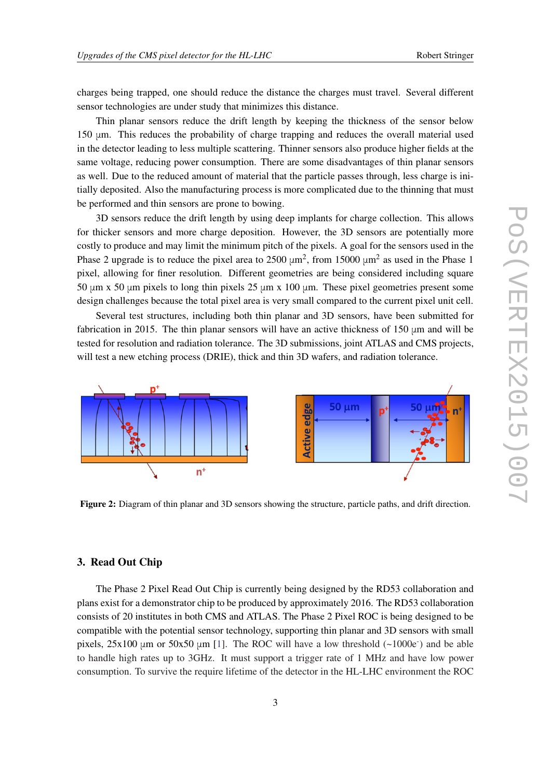charges being trapped, one should reduce the distance the charges must travel. Several different sensor technologies are under study that minimizes this distance.

Thin planar sensors reduce the drift length by keeping the thickness of the sensor below 150 μm. This reduces the probability of charge trapping and reduces the overall material used in the detector leading to less multiple scattering. Thinner sensors also produce higher fields at the same voltage, reducing power consumption. There are some disadvantages of thin planar sensors as well. Due to the reduced amount of material that the particle passes through, less charge is initially deposited. Also the manufacturing process is more complicated due to the thinning that must be performed and thin sensors are prone to bowing.

3D sensors reduce the drift length by using deep implants for charge collection. This allows for thicker sensors and more charge deposition. However, the 3D sensors are potentially more costly to produce and may limit the minimum pitch of the pixels. A goal for the sensors used in the Phase 2 upgrade is to reduce the pixel area to  $2500 \mu m^2$ , from  $15000 \mu m^2$  as used in the Phase 1 pixel, allowing for finer resolution. Different geometries are being considered including square 50 μm x 50 μm pixels to long thin pixels 25 μm x 100 μm. These pixel geometries present some design challenges because the total pixel area is very small compared to the current pixel unit cell.

Several test structures, including both thin planar and 3D sensors, have been submitted for fabrication in 2015. The thin planar sensors will have an active thickness of 150 μm and will be tested for resolution and radiation tolerance. The 3D submissions, joint ATLAS and CMS projects, will test a new etching process (DRIE), thick and thin 3D wafers, and radiation tolerance.



Figure 2: Diagram of thin planar and 3D sensors showing the structure, particle paths, and drift direction.

## 3. Read Out Chip

The Phase 2 Pixel Read Out Chip is currently being designed by the RD53 collaboration and plans exist for a demonstrator chip to be produced by approximately 2016. The RD53 collaboration consists of 20 institutes in both CMS and ATLAS. The Phase 2 Pixel ROC is being designed to be compatible with the potential sensor technology, supporting thin planar and 3D sensors with small pixels,  $25x100 \mu m$  or  $50x50 \mu m$  [\[1\]](#page-5-0). The ROC will have a low threshold  $(-1000e^{-})$  and be able to handle high rates up to 3GHz. It must support a trigger rate of 1 MHz and have low power consumption. To survive the require lifetime of the detector in the HL-LHC environment the ROC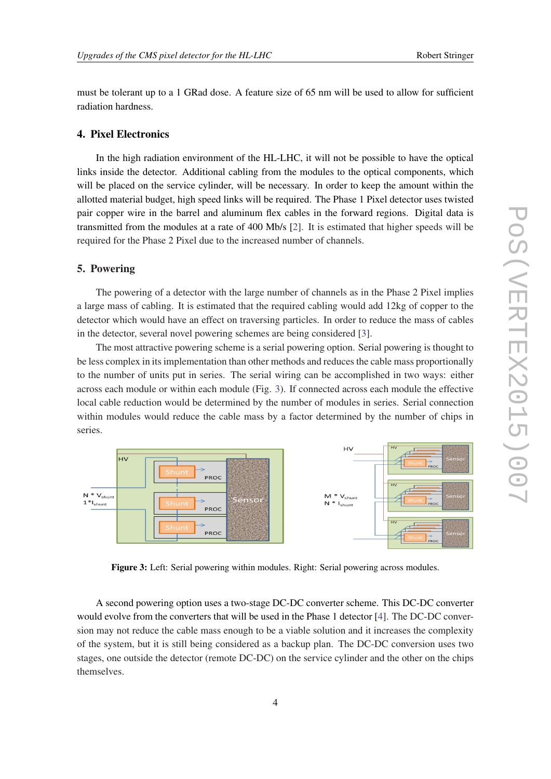must be tolerant up to a 1 GRad dose. A feature size of 65 nm will be used to allow for sufficient radiation hardness.

### 4. Pixel Electronics

In the high radiation environment of the HL-LHC, it will not be possible to have the optical links inside the detector. Additional cabling from the modules to the optical components, which will be placed on the service cylinder, will be necessary. In order to keep the amount within the allotted material budget, high speed links will be required. The Phase 1 Pixel detector uses twisted pair copper wire in the barrel and aluminum flex cables in the forward regions. Digital data is transmitted from the modules at a rate of 400 Mb/s [[2](#page-5-0)]. It is estimated that higher speeds will be required for the Phase 2 Pixel due to the increased number of channels.

## 5. Powering

The powering of a detector with the large number of channels as in the Phase 2 Pixel implies a large mass of cabling. It is estimated that the required cabling would add 12kg of copper to the detector which would have an effect on traversing particles. In order to reduce the mass of cables in the detector, several novel powering schemes are being considered [[3](#page-5-0)].

The most attractive powering scheme is a serial powering option. Serial powering is thought to be less complex in its implementation than other methods and reduces the cable mass proportionally to the number of units put in series. The serial wiring can be accomplished in two ways: either across each module or within each module (Fig. 3). If connected across each module the effective local cable reduction would be determined by the number of modules in series. Serial connection within modules would reduce the cable mass by a factor determined by the number of chips in series.



Figure 3: Left: Serial powering within modules. Right: Serial powering across modules.

A second powering option uses a two-stage DC-DC converter scheme. This DC-DC converter would evolve from the converters that will be used in the Phase 1 detector [\[4\]](#page-5-0). The DC-DC conversion may not reduce the cable mass enough to be a viable solution and it increases the complexity of the system, but it is still being considered as a backup plan. The DC-DC conversion uses two stages, one outside the detector (remote DC-DC) on the service cylinder and the other on the chips themselves.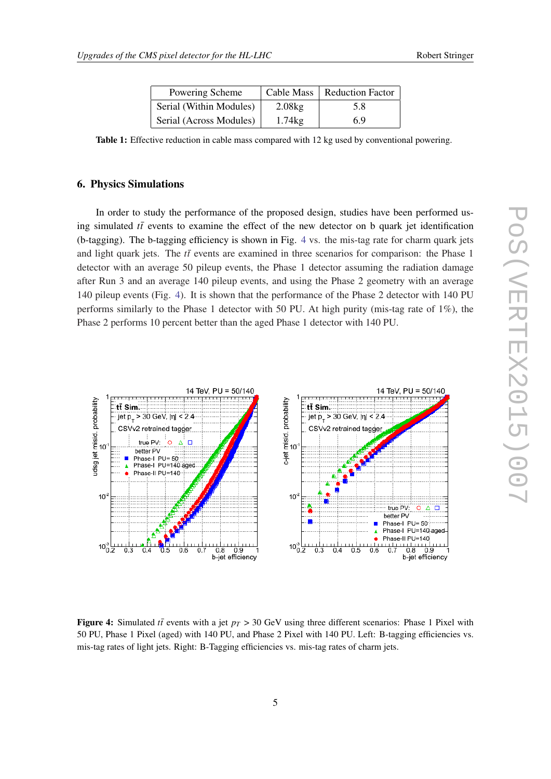| Powering Scheme         |        | Cable Mass   Reduction Factor |
|-------------------------|--------|-------------------------------|
| Serial (Within Modules) | 2.08kg | 5.8                           |
| Serial (Across Modules) | 1.74kg | 6.9                           |

Table 1: Effective reduction in cable mass compared with 12 kg used by conventional powering.

#### 6. Physics Simulations

In order to study the performance of the proposed design, studies have been performed using simulated  $t\bar{t}$  events to examine the effect of the new detector on b quark jet identification (b-tagging). The b-tagging efficiency is shown in Fig. 4 vs. the mis-tag rate for charm quark jets and light quark jets. The  $t\bar{t}$  events are examined in three scenarios for comparison: the Phase 1 detector with an average 50 pileup events, the Phase 1 detector assuming the radiation damage after Run 3 and an average 140 pileup events, and using the Phase 2 geometry with an average 140 pileup events (Fig. 4). It is shown that the performance of the Phase 2 detector with 140 PU performs similarly to the Phase 1 detector with 50 PU. At high purity (mis-tag rate of 1%), the Phase 2 performs 10 percent better than the aged Phase 1 detector with 140 PU.



Figure 4: Simulated *tt* events with a jet  $p_T > 30 \text{ GeV}$  using three different scenarios: Phase 1 Pixel with 50 PU, Phase 1 Pixel (aged) with 140 PU, and Phase 2 Pixel with 140 PU. Left: B-tagging efficiencies vs. mis-tag rates of light jets. Right: B-Tagging efficiencies vs. mis-tag rates of charm jets.